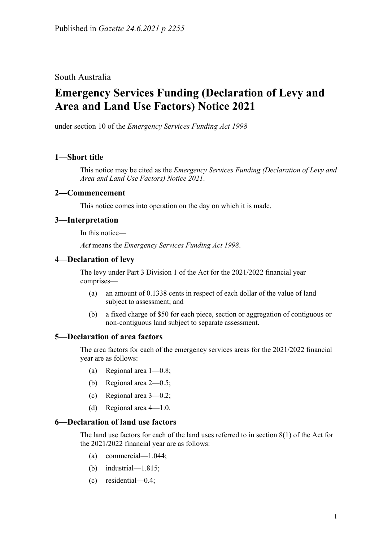South Australia

# **Emergency Services Funding (Declaration of Levy and Area and Land Use Factors) Notice 2021**

under section 10 of the *Emergency Services Funding Act 1998*

# **1—Short title**

This notice may be cited as the *[Emergency Services Funding \(Declaration of Levy and](http://www.legislation.sa.gov.au/index.aspx?action=legref&type=subordleg&legtitle=Emergency%20Services%20Funding%20(Declaration%20of%20Levy%20and%20Area%20and%20Land%20Use%20Factors)%20Notice%202021)  [Area and Land Use Factors\) Notice](http://www.legislation.sa.gov.au/index.aspx?action=legref&type=subordleg&legtitle=Emergency%20Services%20Funding%20(Declaration%20of%20Levy%20and%20Area%20and%20Land%20Use%20Factors)%20Notice%202021) 2021*.

#### **2—Commencement**

This notice comes into operation on the day on which it is made.

# **3—Interpretation**

In this notice—

*Act* means the *[Emergency Services Funding Act](http://www.legislation.sa.gov.au/index.aspx?action=legref&type=act&legtitle=Emergency%20Services%20Funding%20Act%201998) 1998*.

#### **4—Declaration of levy**

The levy under Part 3 Division 1 of the Act for the 2021/2022 financial year comprises—

- (a) an amount of 0.1338 cents in respect of each dollar of the value of land subject to assessment; and
- (b) a fixed charge of \$50 for each piece, section or aggregation of contiguous or non-contiguous land subject to separate assessment.

#### **5—Declaration of area factors**

The area factors for each of the emergency services areas for the 2021/2022 financial year are as follows:

- (a) Regional area 1—0.8;
- (b) Regional area 2—0.5;
- (c) Regional area 3—0.2;
- (d) Regional area 4—1.0.

#### **6—Declaration of land use factors**

The land use factors for each of the land uses referred to in section 8(1) of the Act for the 2021/2022 financial year are as follows:

- (a) commercial—1.044;
- (b) industrial—1.815;
- (c) residential—0.4;